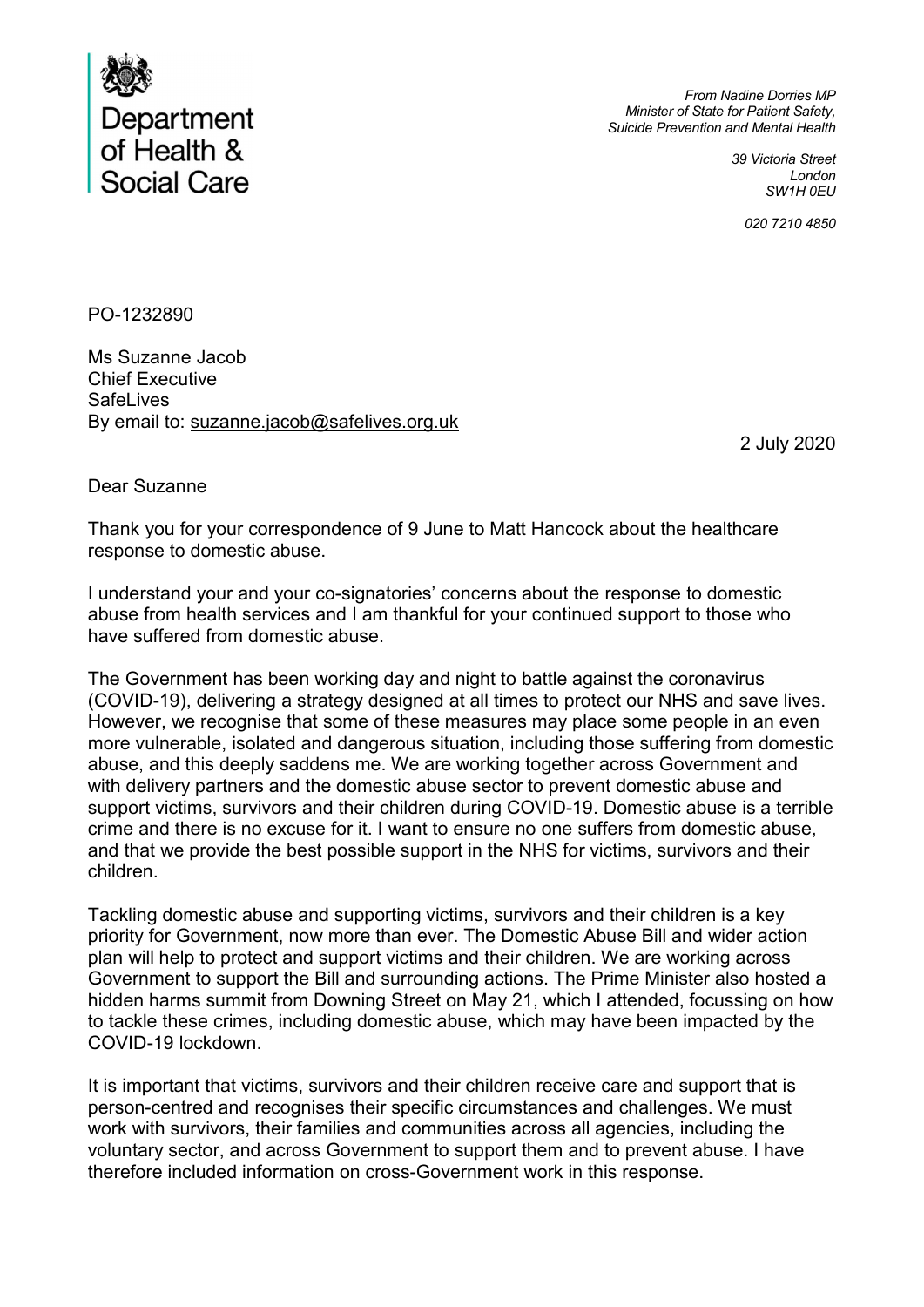

From Nadine Dorries MP Minister of State for Patient Safety, Suicide Prevention and Mental Health

> 39 Victoria Street London SW1H 0EU

> > 020 7210 4850

PO-1232890

Ms Suzanne Jacob Chief Executive **SafeLives** By email to: suzanne.jacob@safelives.org.uk

2 July 2020

Dear Suzanne

Thank you for your correspondence of 9 June to Matt Hancock about the healthcare response to domestic abuse.

I understand your and your co-signatories' concerns about the response to domestic abuse from health services and I am thankful for your continued support to those who have suffered from domestic abuse.

The Government has been working day and night to battle against the coronavirus (COVID-19), delivering a strategy designed at all times to protect our NHS and save lives. However, we recognise that some of these measures may place some people in an even more vulnerable, isolated and dangerous situation, including those suffering from domestic abuse, and this deeply saddens me. We are working together across Government and with delivery partners and the domestic abuse sector to prevent domestic abuse and support victims, survivors and their children during COVID-19. Domestic abuse is a terrible crime and there is no excuse for it. I want to ensure no one suffers from domestic abuse, and that we provide the best possible support in the NHS for victims, survivors and their children.

Tackling domestic abuse and supporting victims, survivors and their children is a key priority for Government, now more than ever. The Domestic Abuse Bill and wider action plan will help to protect and support victims and their children. We are working across Government to support the Bill and surrounding actions. The Prime Minister also hosted a hidden harms summit from Downing Street on May 21, which I attended, focussing on how to tackle these crimes, including domestic abuse, which may have been impacted by the COVID-19 lockdown.

It is important that victims, survivors and their children receive care and support that is person-centred and recognises their specific circumstances and challenges. We must work with survivors, their families and communities across all agencies, including the voluntary sector, and across Government to support them and to prevent abuse. I have therefore included information on cross-Government work in this response.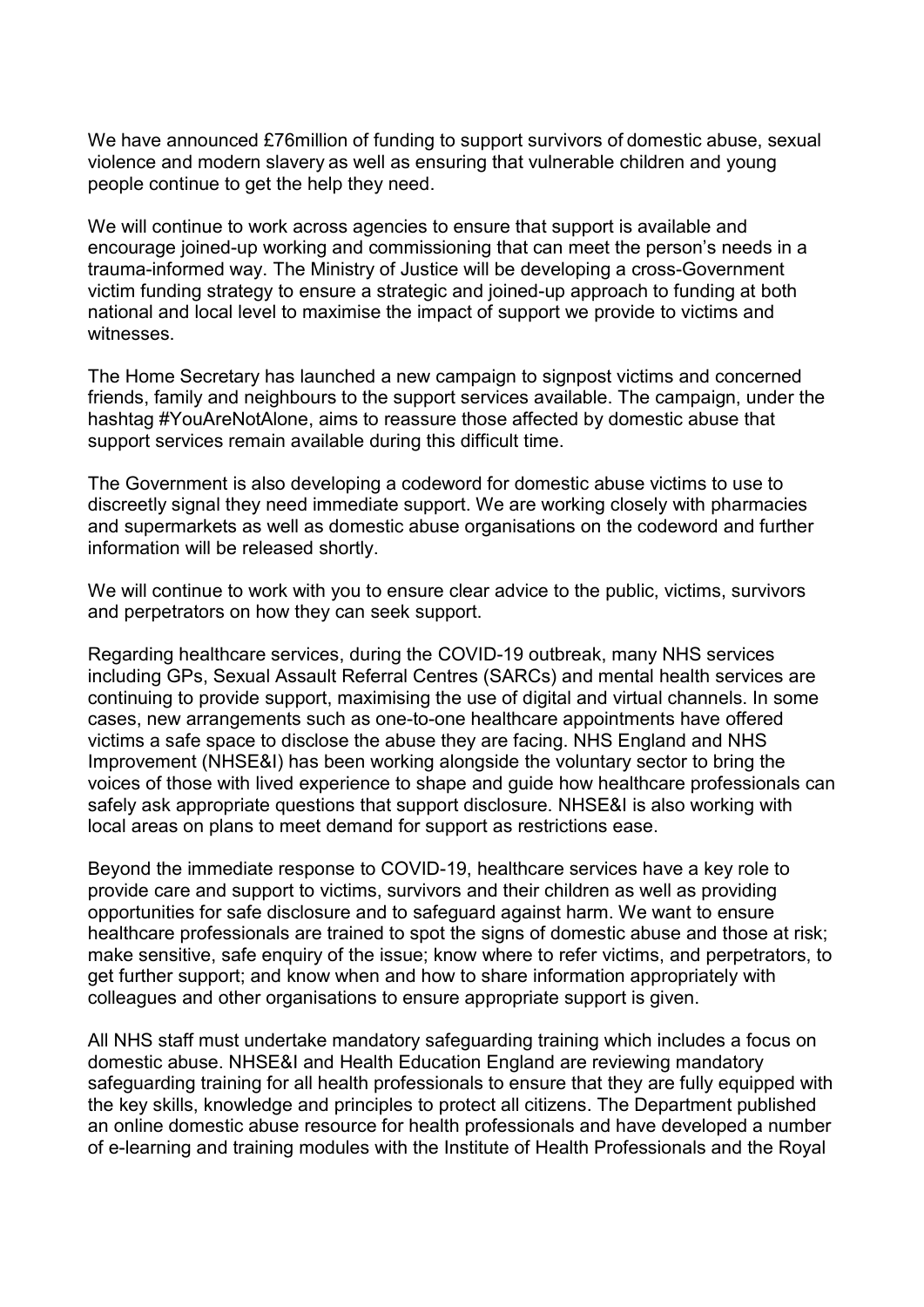We have announced £76million of funding to support survivors of domestic abuse, sexual violence and modern slavery as well as ensuring that vulnerable children and young people continue to get the help they need.

We will continue to work across agencies to ensure that support is available and encourage joined-up working and commissioning that can meet the person's needs in a trauma-informed way. The Ministry of Justice will be developing a cross-Government victim funding strategy to ensure a strategic and joined-up approach to funding at both national and local level to maximise the impact of support we provide to victims and witnesses.

The Home Secretary has launched a new campaign to signpost victims and concerned friends, family and neighbours to the support services available. The campaign, under the hashtag #YouAreNotAlone, aims to reassure those affected by domestic abuse that support services remain available during this difficult time.

The Government is also developing a codeword for domestic abuse victims to use to discreetly signal they need immediate support. We are working closely with pharmacies and supermarkets as well as domestic abuse organisations on the codeword and further information will be released shortly.

We will continue to work with you to ensure clear advice to the public, victims, survivors and perpetrators on how they can seek support.

Regarding healthcare services, during the COVID-19 outbreak, many NHS services including GPs, Sexual Assault Referral Centres (SARCs) and mental health services are continuing to provide support, maximising the use of digital and virtual channels. In some cases, new arrangements such as one-to-one healthcare appointments have offered victims a safe space to disclose the abuse they are facing. NHS England and NHS Improvement (NHSE&I) has been working alongside the voluntary sector to bring the voices of those with lived experience to shape and guide how healthcare professionals can safely ask appropriate questions that support disclosure. NHSE&I is also working with local areas on plans to meet demand for support as restrictions ease.

Beyond the immediate response to COVID-19, healthcare services have a key role to provide care and support to victims, survivors and their children as well as providing opportunities for safe disclosure and to safeguard against harm. We want to ensure healthcare professionals are trained to spot the signs of domestic abuse and those at risk; make sensitive, safe enquiry of the issue; know where to refer victims, and perpetrators, to get further support; and know when and how to share information appropriately with colleagues and other organisations to ensure appropriate support is given.

All NHS staff must undertake mandatory safeguarding training which includes a focus on domestic abuse. NHSE&I and Health Education England are reviewing mandatory safeguarding training for all health professionals to ensure that they are fully equipped with the key skills, knowledge and principles to protect all citizens. The Department published an online domestic abuse resource for health professionals and have developed a number of e-learning and training modules with the Institute of Health Professionals and the Royal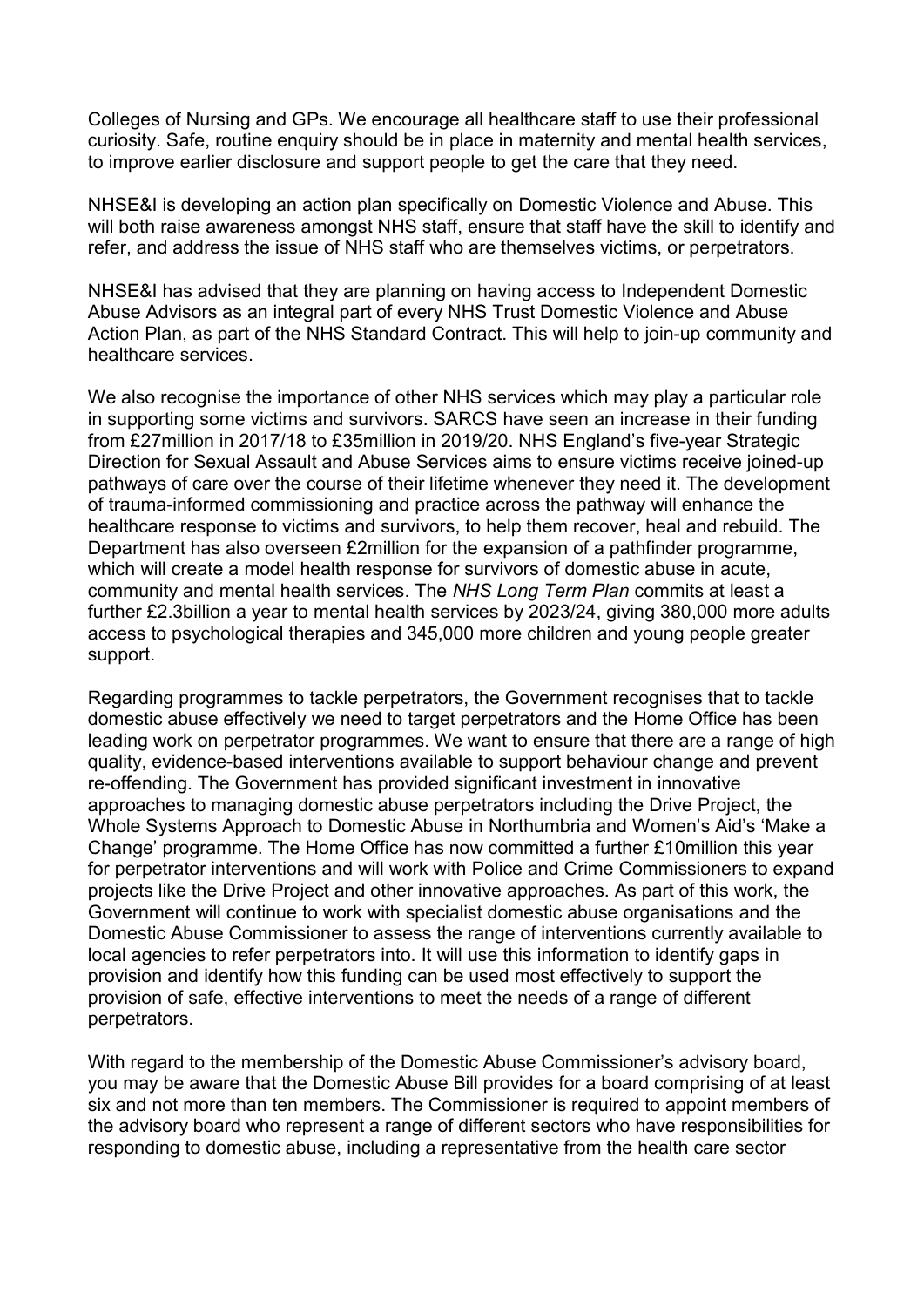Colleges of Nursing and GPs. We encourage all healthcare staff to use their professional curiosity. Safe, routine enquiry should be in place in maternity and mental health services, to improve earlier disclosure and support people to get the care that they need.

NHSE&I is developing an action plan specifically on Domestic Violence and Abuse. This will both raise awareness amongst NHS staff, ensure that staff have the skill to identify and refer, and address the issue of NHS staff who are themselves victims, or perpetrators.

NHSE&I has advised that they are planning on having access to Independent Domestic Abuse Advisors as an integral part of every NHS Trust Domestic Violence and Abuse Action Plan, as part of the NHS Standard Contract. This will help to join-up community and healthcare services.

We also recognise the importance of other NHS services which may play a particular role in supporting some victims and survivors. SARCS have seen an increase in their funding from £27million in 2017/18 to £35million in 2019/20. NHS England's five-year Strategic Direction for Sexual Assault and Abuse Services aims to ensure victims receive joined-up pathways of care over the course of their lifetime whenever they need it. The development of trauma-informed commissioning and practice across the pathway will enhance the healthcare response to victims and survivors, to help them recover, heal and rebuild. The Department has also overseen £2million for the expansion of a pathfinder programme, which will create a model health response for survivors of domestic abuse in acute, community and mental health services. The NHS Long Term Plan commits at least a further £2.3billion a year to mental health services by 2023/24, giving 380,000 more adults access to psychological therapies and 345,000 more children and young people greater support.

Regarding programmes to tackle perpetrators, the Government recognises that to tackle domestic abuse effectively we need to target perpetrators and the Home Office has been leading work on perpetrator programmes. We want to ensure that there are a range of high quality, evidence-based interventions available to support behaviour change and prevent re-offending. The Government has provided significant investment in innovative approaches to managing domestic abuse perpetrators including the Drive Project, the Whole Systems Approach to Domestic Abuse in Northumbria and Women's Aid's 'Make a Change' programme. The Home Office has now committed a further £10million this year for perpetrator interventions and will work with Police and Crime Commissioners to expand projects like the Drive Project and other innovative approaches. As part of this work, the Government will continue to work with specialist domestic abuse organisations and the Domestic Abuse Commissioner to assess the range of interventions currently available to local agencies to refer perpetrators into. It will use this information to identify gaps in provision and identify how this funding can be used most effectively to support the provision of safe, effective interventions to meet the needs of a range of different perpetrators.

With regard to the membership of the Domestic Abuse Commissioner's advisory board, you may be aware that the Domestic Abuse Bill provides for a board comprising of at least six and not more than ten members. The Commissioner is required to appoint members of the advisory board who represent a range of different sectors who have responsibilities for responding to domestic abuse, including a representative from the health care sector